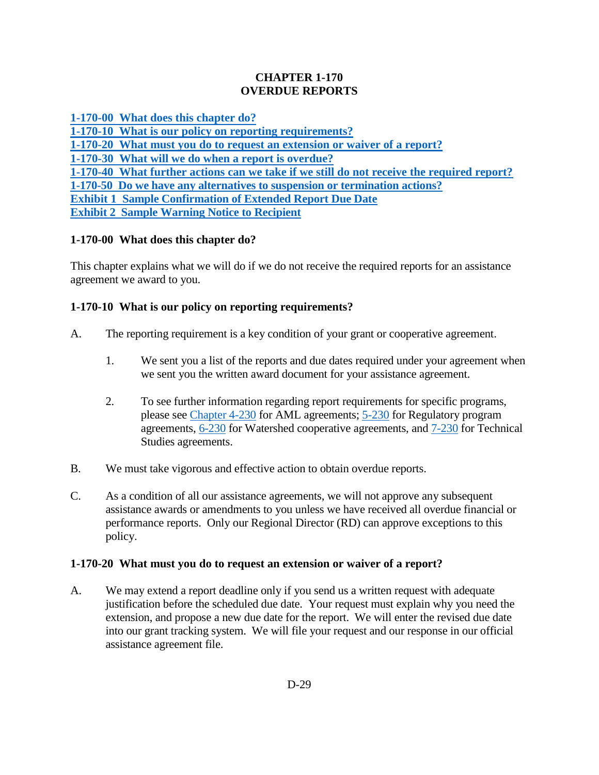### **CHAPTER 1-170 OVERDUE REPORTS**

**[1-170-00 What does this chapter do?](#page-0-0)**

**[1-170-10 What is our policy on reporting requirements?](#page-0-1)**

**[1-170-20 What must you do to request an extension or waiver of a report?](#page-0-2)**

**[1-170-30 What will we do when a report is overdue?](#page-1-0)**

**[1-170-40 What further actions can we take if we still do not receive the required report?](#page-1-1)**

**[1-170-50 Do we have any alternatives to suspension or termination actions?](#page-2-0)**

**Exhibit [1 Sample Confirmation of Extended Report Due Date](#page-3-0)**

**Exhibit [2 Sample Warning Notice to Recipient](#page-4-0)**

# <span id="page-0-0"></span>**1-170-00 What does this chapter do?**

This chapter explains what we will do if we do not receive the required reports for an assistance agreement we award to you.

## <span id="page-0-1"></span>**1-170-10 What is our policy on reporting requirements?**

- A. The reporting requirement is a key condition of your grant or cooperative agreement.
	- 1. We sent you a list of the reports and due dates required under your agreement when we sent you the written award document for your assistance agreement.
	- 2. To see further information regarding report requirements for specific programs, please see [Chapter 4-230](https://www.osmre.gov/lrg/fam/4-230.pdf) for AML agreements; [5-230](https://www.osmre.gov/lrg/fam/5-230.pdf) for Regulatory program agreements, [6-230](https://www.osmre.gov/lrg/fam/6-230.pdf) for Watershed cooperative agreements, and [7-230](https://www.osmre.gov/lrg/fam/7-230.pdf) for Technical Studies agreements.
- B. We must take vigorous and effective action to obtain overdue reports.
- C. As a condition of all our assistance agreements, we will not approve any subsequent assistance awards or amendments to you unless we have received all overdue financial or performance reports. Only our Regional Director (RD) can approve exceptions to this policy.

### <span id="page-0-2"></span>**1-170-20 What must you do to request an extension or waiver of a report?**

A. We may extend a report deadline only if you send us a written request with adequate justification before the scheduled due date. Your request must explain why you need the extension, and propose a new due date for the report. We will enter the revised due date into our grant tracking system. We will file your request and our response in our official assistance agreement file.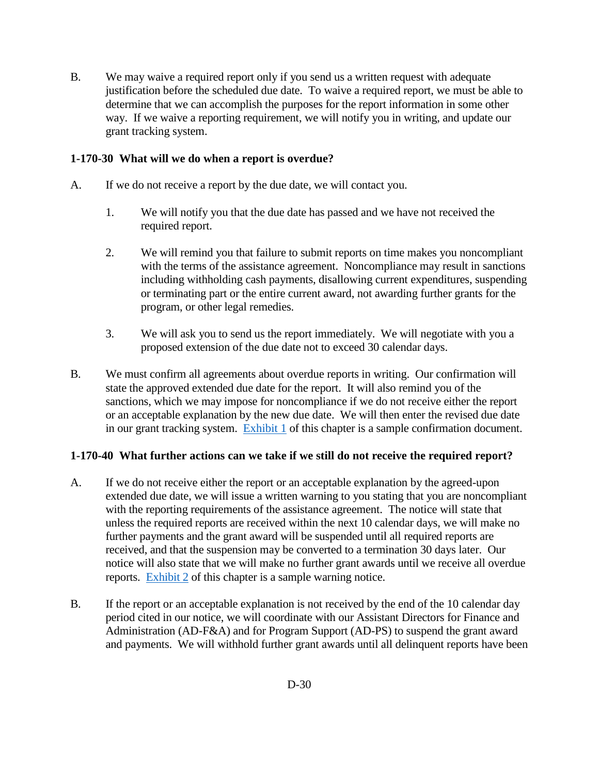B. We may waive a required report only if you send us a written request with adequate justification before the scheduled due date. To waive a required report, we must be able to determine that we can accomplish the purposes for the report information in some other way. If we waive a reporting requirement, we will notify you in writing, and update our grant tracking system.

### <span id="page-1-0"></span>**1-170-30 What will we do when a report is overdue?**

- A. If we do not receive a report by the due date, we will contact you.
	- 1. We will notify you that the due date has passed and we have not received the required report.
	- 2. We will remind you that failure to submit reports on time makes you noncompliant with the terms of the assistance agreement. Noncompliance may result in sanctions including withholding cash payments, disallowing current expenditures, suspending or terminating part or the entire current award, not awarding further grants for the program, or other legal remedies.
	- 3. We will ask you to send us the report immediately. We will negotiate with you a proposed extension of the due date not to exceed 30 calendar days.
- B. We must confirm all agreements about overdue reports in writing. Our confirmation will state the approved extended due date for the report. It will also remind you of the sanctions, which we may impose for noncompliance if we do not receive either the report or an acceptable explanation by the new due date. We will then enter the revised due date in our grant tracking system. [Exhibit 1](#page-3-0) of this chapter is a sample confirmation document.

#### <span id="page-1-1"></span>**1-170-40 What further actions can we take if we still do not receive the required report?**

- A. If we do not receive either the report or an acceptable explanation by the agreed-upon extended due date, we will issue a written warning to you stating that you are noncompliant with the reporting requirements of the assistance agreement. The notice will state that unless the required reports are received within the next 10 calendar days, we will make no further payments and the grant award will be suspended until all required reports are received, and that the suspension may be converted to a termination 30 days later. Our notice will also state that we will make no further grant awards until we receive all overdue reports. [Exhibit 2](#page-4-0) of this chapter is a sample warning notice.
- B. If the report or an acceptable explanation is not received by the end of the 10 calendar day period cited in our notice, we will coordinate with our Assistant Directors for Finance and Administration (AD-F&A) and for Program Support (AD-PS) to suspend the grant award and payments. We will withhold further grant awards until all delinquent reports have been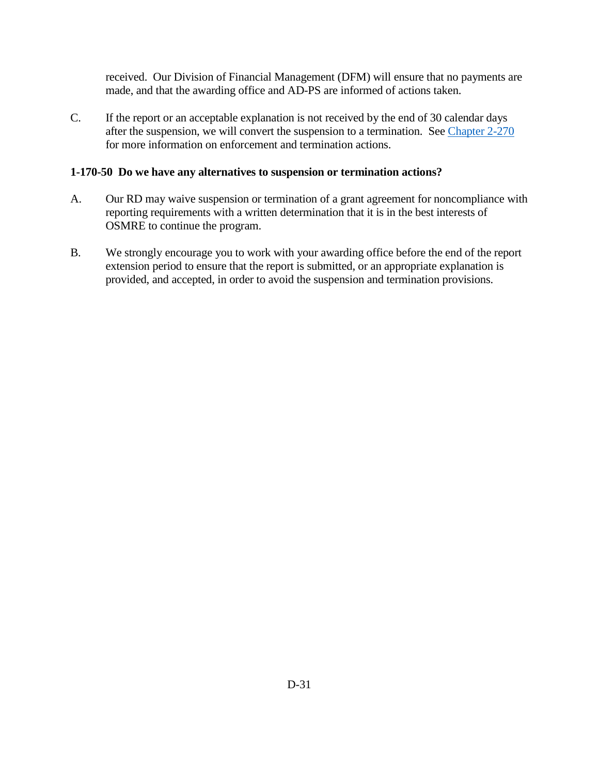received. Our Division of Financial Management (DFM) will ensure that no payments are made, and that the awarding office and AD-PS are informed of actions taken.

C. If the report or an acceptable explanation is not received by the end of 30 calendar days after the suspension, we will convert the suspension to a termination. See [Chapter 2-270](https://www.osmre.gov/lrg/fam/2-270.pdf) for more information on enforcement and termination actions.

#### <span id="page-2-0"></span>**1-170-50 Do we have any alternatives to suspension or termination actions?**

- A. Our RD may waive suspension or termination of a grant agreement for noncompliance with reporting requirements with a written determination that it is in the best interests of OSMRE to continue the program.
- B. We strongly encourage you to work with your awarding office before the end of the report extension period to ensure that the report is submitted, or an appropriate explanation is provided, and accepted, in order to avoid the suspension and termination provisions.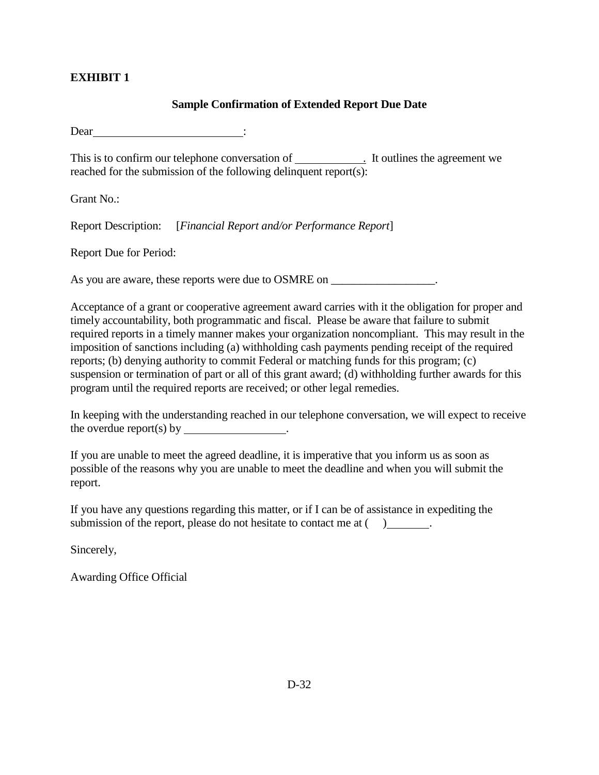## <span id="page-3-0"></span>**EXHIBIT 1**

#### **Sample Confirmation of Extended Report Due Date**

Dear :

This is to confirm our telephone conversation of . It outlines the agreement we reached for the submission of the following delinquent report(s):

Grant No.:

Report Description: [*Financial Report and/or Performance Report*]

Report Due for Period:

As you are aware, these reports were due to OSMRE on \_\_\_\_\_\_\_\_\_\_\_\_\_\_\_\_\_\_.

Acceptance of a grant or cooperative agreement award carries with it the obligation for proper and timely accountability, both programmatic and fiscal. Please be aware that failure to submit required reports in a timely manner makes your organization noncompliant. This may result in the imposition of sanctions including (a) withholding cash payments pending receipt of the required reports; (b) denying authority to commit Federal or matching funds for this program; (c) suspension or termination of part or all of this grant award; (d) withholding further awards for this program until the required reports are received; or other legal remedies.

In keeping with the understanding reached in our telephone conversation, we will expect to receive the overdue report(s) by \_\_\_\_\_\_\_\_\_\_\_\_\_\_\_.

If you are unable to meet the agreed deadline, it is imperative that you inform us as soon as possible of the reasons why you are unable to meet the deadline and when you will submit the report.

If you have any questions regarding this matter, or if I can be of assistance in expediting the submission of the report, please do not hesitate to contact me at  $( )$ .

Sincerely,

Awarding Office Official